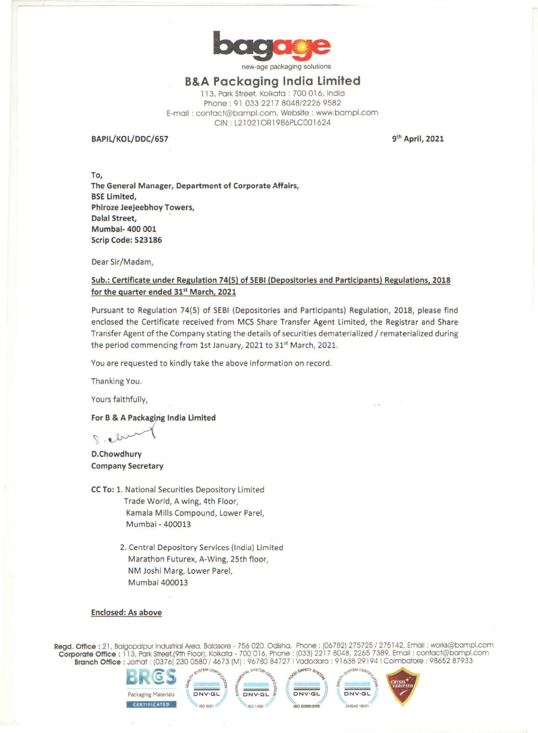

new-age packaging solutions

# **B&A Packaging India Limited**

11 3, Pork Street, Kolkata : 700 016, India Phone : 91 033 2217 8048/2226 9582 E-mail : contact@bampl.com, Website : www.bampl.com CIN : L21021ORl986PLC001624

### **BAPIL/KOL/DDC/657**

**9th April, 2021** 

**To, The General Manager, Department of Corporate Affairs, BSE Limited, Phlroze Jeejeebhoy Towers, Dalal Street, Mumbai- 400 001 Scrip Code: 523186** 

Dear Sir/Madam,

## **Sub.: Certificate under Regulation 74(5) of SEBI (Depositories and Participants) Regulations, 2018 for the quarter ended 31st March, 2021**

Pursuant to Regulation 74(5) of SEBI (Depositories and Participants) Regulation, 2018, please find enclosed the Certificate received from MCS Share Transfer Agent Limited, the Registrar and Share Transfer Agent of the Company stating the details of securities dematerialized/ rematerialized during the period commencing from 1st January, 2021 to 31<sup>st</sup> March, 2021.

You are requested to kindly take the above information on record.

Thanking You.

Yours faithfully,

**For B & A Packaging India Limited** 

**D.Chowdhury Company Secretary** 

- **CC To:** 1. National Securities Depository Limited Trade World, A wing, 4th Floor, Kamala Mills Compound, Lower Parel, Mumbai - 400013
	- 2. Central Depository Services (India) Limited Marathon Futurex, A-Wing, 25th floor, **NM** Joshi Marg, Lower Parel, Mumbai 400013

#### **Enclosed: As above**

**Regd. Office :** 21. Balgopalpur Industrial Area. Balasore - 756 020 Odlsho, Phone : (06782) 275725 / 275142, Email: works@bampl.com **Corporate Office** : 113, Park Street.(9th Floor), Kolkata - 700 016, Phone . (033) 221 7 8048, 2265 7389, Email : contact@bampl.com **Branch Office :** Jorhat : (0376) 230 0580 / 4673 (M) : 96780 84727 I Vadodaro : 91638 29194 I Coimbatore : 98652 87933